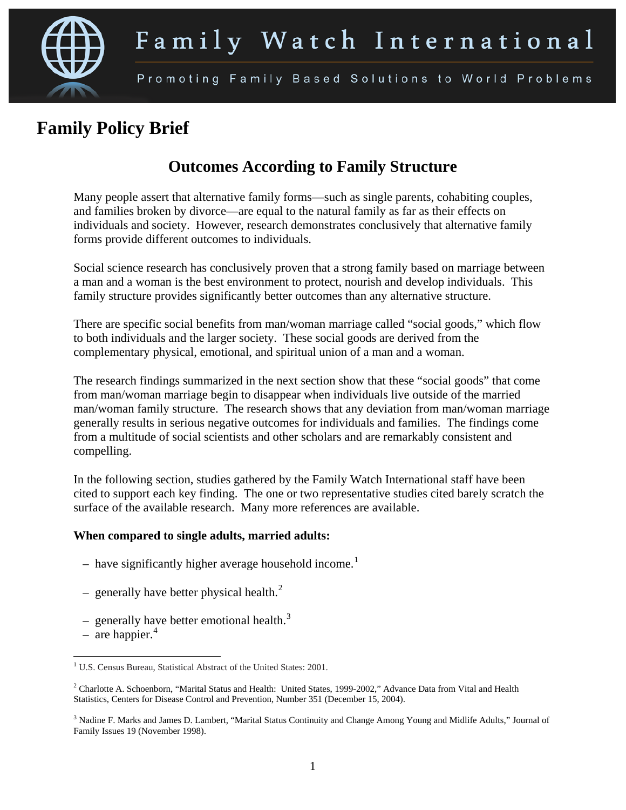

# **Family Policy Brief**

# **Outcomes According to Family Structure**

Many people assert that alternative family forms—such as single parents, cohabiting couples, and families broken by divorce—are equal to the natural family as far as their effects on individuals and society. However, research demonstrates conclusively that alternative family forms provide different outcomes to individuals.

Social science research has conclusively proven that a strong family based on marriage between a man and a woman is the best environment to protect, nourish and develop individuals. This family structure provides significantly better outcomes than any alternative structure.

There are specific social benefits from man/woman marriage called "social goods," which flow to both individuals and the larger society. These social goods are derived from the complementary physical, emotional, and spiritual union of a man and a woman.

<span id="page-0-3"></span>The research findings summarized in the next section show that these "social goods" that come from man/woman marriage begin to disappear when individuals live outside of the married man/woman family structure. The research shows that any deviation from man/woman marriage generally results in serious negative outcomes for individuals and families. The findings come from a multitude of social scientists and other scholars and are remarkably consistent and compelling.

In the following section, studies gathered by the Family Watch International staff have been cited to support each key finding. The one or two representative studies cited barely scratch the surface of the available research. Many more references are available.

## **When compared to single adults, married adults:**

- have significantly higher average household income.<sup>[1](#page-0-0)</sup>
- generally have better physical health. $<sup>2</sup>$  $<sup>2</sup>$  $<sup>2</sup>$ </sup>
	- generally have better emotional health.<sup>[3](#page-0-2)</sup>
- are happier.<sup>[4](#page-0-3)</sup>

<span id="page-0-0"></span><sup>&</sup>lt;sup>1</sup> U.S. Census Bureau, Statistical Abstract of the United States: 2001.

<span id="page-0-1"></span><sup>&</sup>lt;sup>2</sup> Charlotte A. Schoenborn, "Marital Status and Health: United States, 1999-2002," Advance Data from Vital and Health Statistics, Centers for Disease Control and Prevention, Number 351 (December 15, 2004).

<span id="page-0-2"></span><sup>&</sup>lt;sup>3</sup> Nadine F. Marks and James D. Lambert, "Marital Status Continuity and Change Among Young and Midlife Adults," Journal of Family Issues 19 (November 1998).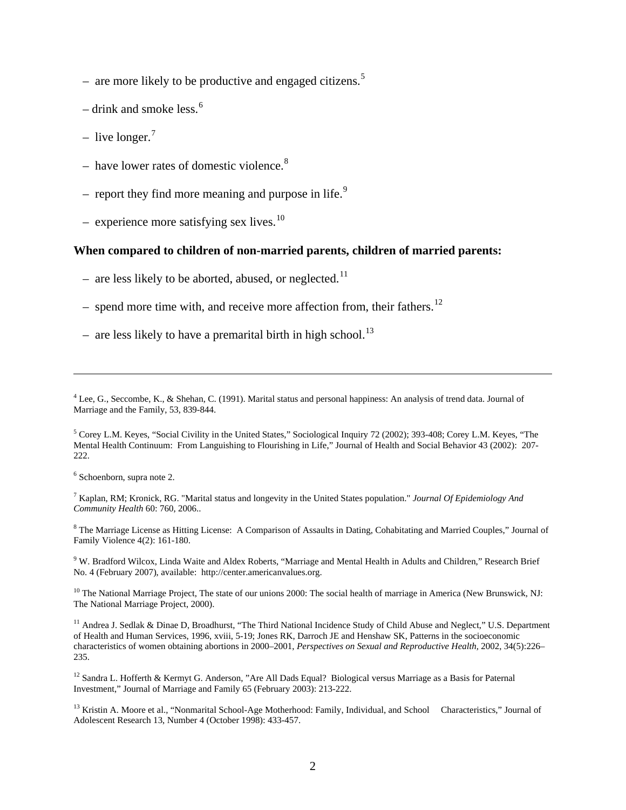- are more likely to be productive and engaged citizens.<sup>[5](#page-1-0)</sup>
- drink and smoke less.<sup>[6](#page-1-1)</sup>
- live longer.<sup>[7](#page-1-2)</sup>
- have lower rates of domestic violence.<sup>[8](#page-1-3)</sup>
	- report they find more meaning and purpose in life.<sup>[9](#page-1-4)</sup>
- $-$  experience more satisfying sex lives.<sup>10</sup>

#### **When compared to children of non-married parents, children of married parents:**

- are less likely to be aborted, abused, or neglected.<sup>[11](#page-1-6)</sup>
- spend more time with, and receive more affection from, their fathers.<sup>[12](#page-1-7)</sup>
- are less likely to have a premarital birth in high school.<sup>[13](#page-1-8)</sup>

<sup>4</sup> Lee, G., Seccombe, K., & Shehan, C. (1991). Marital status and personal happiness: An analysis of trend data. Journal of Marriage and the Family, 53, 839-844.

<span id="page-1-0"></span><sup>5</sup> Corey L.M. Keyes, "Social Civility in the United States," Sociological Inquiry 72 (2002); 393-408; Corey L.M. Keyes, "The Mental Health Continuum: From Languishing to Flourishing in Life," Journal of Health and Social Behavior 43 (2002): 207- 222.

<span id="page-1-1"></span><sup>6</sup> Schoenborn, supra note 2.

 $\overline{a}$ 

<span id="page-1-2"></span><sup>7</sup> Kaplan, RM; Kronick, RG. "Marital status and longevity in the United States population." *Journal Of Epidemiology And Community Health* 60: 760, 2006..

<span id="page-1-3"></span><sup>8</sup> The Marriage License as Hitting License: A Comparison of Assaults in Dating, Cohabitating and Married Couples," Journal of Family Violence 4(2): 161-180.

<span id="page-1-4"></span><sup>9</sup> W. Bradford Wilcox, Linda Waite and Aldex Roberts, "Marriage and Mental Health in Adults and Children," Research Brief No. 4 (February 2007), available: http://center.americanvalues.org.

<span id="page-1-5"></span><sup>10</sup> The National Marriage Project, The state of our unions 2000: The social health of marriage in America (New Brunswick, NJ: The National Marriage Project, 2000).

<span id="page-1-6"></span><sup>11</sup> Andrea J. Sedlak & Dinae D, Broadhurst, "The Third National Incidence Study of Child Abuse and Neglect," U.S. Department of Health and Human Services, 1996, xviii, 5-19; Jones RK, Darroch JE and Henshaw SK, Patterns in the socioeconomic characteristics of women obtaining abortions in 2000–2001, *Perspectives on Sexual and Reproductive Health,* 2002, 34(5):226– 235.

<span id="page-1-7"></span><sup>12</sup> Sandra L. Hofferth & Kermyt G. Anderson, "Are All Dads Equal? Biological versus Marriage as a Basis for Paternal Investment," Journal of Marriage and Family 65 (February 2003): 213-222.

<span id="page-1-8"></span><sup>13</sup> Kristin A. Moore et al., "Nonmarital School-Age Motherhood: Family, Individual, and School Characteristics," Journal of Adolescent Research 13, Number 4 (October 1998): 433-457.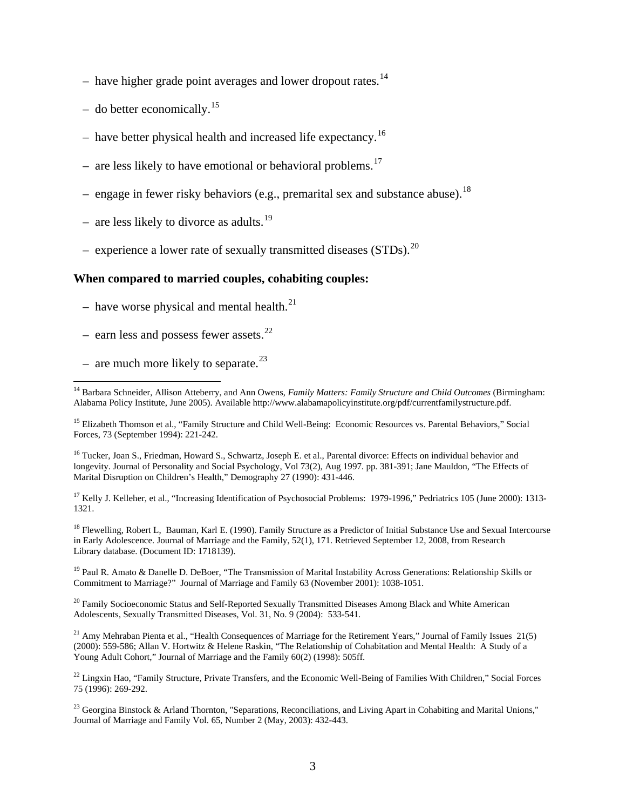- have higher grade point averages and lower dropout rates.<sup>[14](#page-2-0)</sup>
- do better economically.<sup>[15](#page-2-1)</sup>
- have better physical health and increased life expectancy.<sup>[16](#page-2-2)</sup>
	- are less likely to have emotional or behavioral problems.<sup>[17](#page-2-3)</sup>
	- engage in fewer risky behaviors (e.g., premarital sex and substance abuse).<sup>[18](#page-2-4)</sup>
- are less likely to divorce as adults.<sup>[19](#page-2-5)</sup>
- experience a lower rate of sexually transmitted diseases (STDs).<sup>[20](#page-2-6)</sup>

#### **When compared to married couples, cohabiting couples:**

- $-$  have worse physical and mental health.<sup>[21](#page-2-7)</sup>
- earn less and possess fewer assets.<sup>[22](#page-2-8)</sup>
- are much more likely to separate. $^{23}$  $^{23}$  $^{23}$

<span id="page-2-2"></span><sup>16</sup> Tucker, Joan S., Friedman, Howard S., Schwartz, Joseph E. et al., Parental divorce: Effects on individual behavior and longevity. Journal of Personality and Social Psychology, Vol 73(2), Aug 1997. pp. 381-391; Jane Mauldon, "The Effects of Marital Disruption on Children's Health," Demography 27 (1990): 431-446.

<span id="page-2-3"></span><sup>17</sup> Kelly J. Kelleher, et al., "Increasing Identification of Psychosocial Problems: 1979-1996," Pedriatrics 105 (June 2000): 1313-1321.

<span id="page-2-4"></span><sup>18</sup> Flewelling, Robert L, Bauman, Karl E. (1990). Family Structure as a Predictor of Initial Substance Use and Sexual Intercourse in Early Adolescence. Journal of Marriage and the Family, 52(1), 171. Retrieved September 12, 2008, from Research Library database. (Document ID: 1718139).

<span id="page-2-5"></span><sup>19</sup> Paul R. Amato & Danelle D. DeBoer, "The Transmission of Marital Instability Across Generations: Relationship Skills or Commitment to Marriage?" Journal of Marriage and Family 63 (November 2001): 1038-1051.

<span id="page-2-6"></span><sup>20</sup> Family Socioeconomic Status and Self-Reported Sexually Transmitted Diseases Among Black and White American Adolescents, Sexually Transmitted Diseases, Vol. 31, No. 9 (2004): 533-541.

<span id="page-2-7"></span> $21$  Amy Mehraban Pienta et al., "Health Consequences of Marriage for the Retirement Years," Journal of Family Issues  $21(5)$ (2000): 559-586; Allan V. Hortwitz & Helene Raskin, "The Relationship of Cohabitation and Mental Health: A Study of a Young Adult Cohort," Journal of Marriage and the Family 60(2) (1998): 505ff.

<span id="page-2-8"></span> $^{22}$  Lingxin Hao, "Family Structure, Private Transfers, and the Economic Well-Being of Families With Children," Social Forces 75 (1996): 269-292.

<span id="page-2-9"></span><sup>23</sup> Georgina Binstock & Arland Thornton, "Separations, Reconciliations, and Living Apart in Cohabiting and Marital Unions," Journal of Marriage and Family Vol. 65, Number 2 (May, 2003): 432-443.

<span id="page-2-0"></span><sup>&</sup>lt;sup>14</sup> Barbara Schneider, Allison Atteberry, and Ann Owens, *Family Matters: Family Structure and Child Outcomes* (Birmingham: Alabama Policy Institute, June 2005). Available http://www.alabamapolicyinstitute.org/pdf/currentfamilystructure.pdf.

<span id="page-2-1"></span><sup>&</sup>lt;sup>15</sup> Elizabeth Thomson et al., "Family Structure and Child Well-Being: Economic Resources vs. Parental Behaviors," Social Forces, 73 (September 1994): 221-242.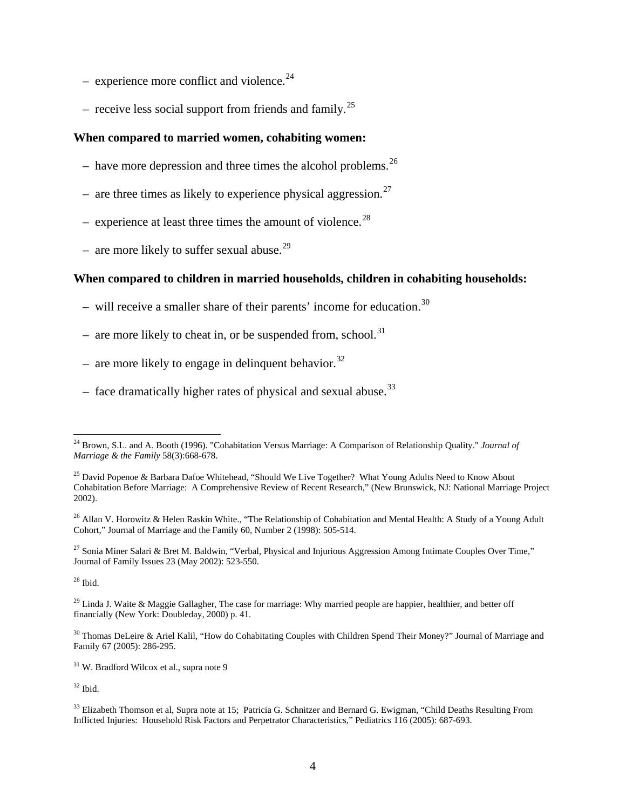- $-$  experience more conflict and violence.<sup>[24](#page-3-0)</sup>
- receive less social support from friends and family.<sup>[25](#page-3-1)</sup>

#### **When compared to married women, cohabiting women:**

- have more depression and three times the alcohol problems.<sup>[26](#page-3-2)</sup>
- are three times as likely to experience physical aggression.<sup>[27](#page-3-3)</sup>
- experience at least three times the amount of violence.<sup>[28](#page-3-4)</sup>
	- are more likely to suffer sexual abuse.<sup>[29](#page-3-5)</sup>

# **When compared to children in married households, children in cohabiting households:**

- will receive a smaller share of their parents' income for education.<sup>[30](#page-3-6)</sup>
- are more likely to cheat in, or be suspended from, school.<sup>[31](#page-3-7)</sup>
- are more likely to engage in delinquent behavior.<sup>[32](#page-3-8)</sup>
	- face dramatically higher rates of physical and sexual abuse.<sup>[33](#page-3-9)</sup>

<span id="page-3-3"></span><sup>27</sup> Sonia Miner Salari & Bret M. Baldwin, "Verbal, Physical and Injurious Aggression Among Intimate Couples Over Time," Journal of Family Issues 23 (May 2002): 523-550.

<span id="page-3-4"></span> $28$  Ibid.

<span id="page-3-5"></span> $29$  Linda J. Waite & Maggie Gallagher, The case for marriage: Why married people are happier, healthier, and better off financially (New York: Doubleday, 2000) p. 41.

<span id="page-3-6"></span><sup>30</sup> Thomas DeLeire & Ariel Kalil, "How do Cohabitating Couples with Children Spend Their Money?" Journal of Marriage and Family 67 (2005): 286-295.

<span id="page-3-7"></span><sup>31</sup> W. Bradford Wilcox et al., supra note 9

<span id="page-3-8"></span> $32$  Ibid.

<span id="page-3-0"></span> <sup>24</sup> Brown, S.L. and A. Booth (1996). "Cohabitation Versus Marriage: A Comparison of Relationship Quality." *Journal of Marriage & the Family* 58(3):668-678.

<span id="page-3-1"></span><sup>&</sup>lt;sup>25</sup> David Popenoe & Barbara Dafoe Whitehead, "Should We Live Together? What Young Adults Need to Know About Cohabitation Before Marriage: A Comprehensive Review of Recent Research," (New Brunswick, NJ: National Marriage Project 2002).

<span id="page-3-2"></span><sup>&</sup>lt;sup>26</sup> Allan V. Horowitz & Helen Raskin White., "The Relationship of Cohabitation and Mental Health: A Study of a Young Adult Cohort," Journal of Marriage and the Family 60, Number 2 (1998): 505-514.

<span id="page-3-9"></span><sup>&</sup>lt;sup>33</sup> Elizabeth Thomson et al, Supra note at 15; Patricia G. Schnitzer and Bernard G. Ewigman, "Child Deaths Resulting From Inflicted Injuries: Household Risk Factors and Perpetrator Characteristics," Pediatrics 116 (2005): 687-693.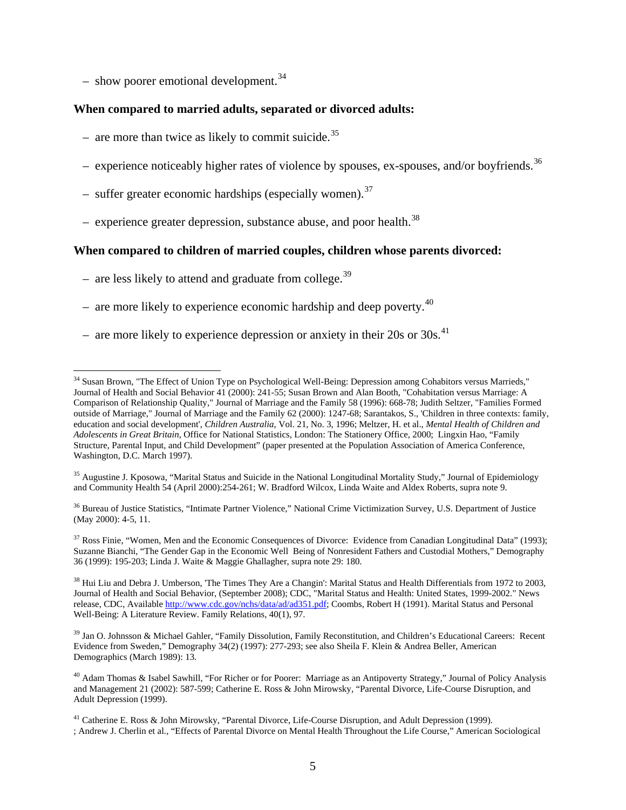– show poorer emotional development.<sup>[34](#page-4-0)</sup>

#### **When compared to married adults, separated or divorced adults:**

- are more than twice as likely to commit suicide.<sup>[35](#page-4-1)</sup>
- experience noticeably higher rates of violence by spouses, ex-spouses, and/or boyfriends.<sup>[36](#page-4-2)</sup>
- suffer greater economic hardships (especially women).<sup>[37](#page-4-3)</sup>
- experience greater depression, substance abuse, and poor health. $^{38}$  $^{38}$  $^{38}$

#### **When compared to children of married couples, children whose parents divorced:**

- are less likely to attend and graduate from college.<sup>[39](#page-4-5)</sup>
- are more likely to experience economic hardship and deep poverty. $40$ 
	- are more likely to experience depression or anxiety in their 20s or 30s.<sup>[41](#page-4-0)</sup>

<span id="page-4-2"></span><sup>36</sup> Bureau of Justice Statistics, "Intimate Partner Violence," National Crime Victimization Survey, U.S. Department of Justice (May 2000): 4-5, 11.

<span id="page-4-3"></span><sup>37</sup> Ross Finie, "Women, Men and the Economic Consequences of Divorce: Evidence from Canadian Longitudinal Data" (1993); Suzanne Bianchi, "The Gender Gap in the Economic Well Being of Nonresident Fathers and Custodial Mothers," Demography 36 (1999): 195-203; Linda J. Waite & Maggie Ghallagher, supra note 29: 180.

<span id="page-4-4"></span><sup>38</sup> Hui Liu and Debra J. Umberson, 'The Times They Are a Changin': Marital Status and Health Differentials from 1972 to 2003, Journal of Health and Social Behavior, (September 2008); CDC, "Marital Status and Health: United States, 1999-2002." News release, CDC, Availabl[e http://www.cdc.gov/nchs/data/ad/ad351.pdf;](http://www.cdc.gov/nchs/data/ad/ad351.pdf) Coombs, Robert H (1991). Marital Status and Personal Well-Being: A Literature Review. Family Relations, 40(1), 97.

<span id="page-4-5"></span><sup>39</sup> Jan O. Johnsson & Michael Gahler, "Family Dissolution, Family Reconstitution, and Children's Educational Careers: Recent Evidence from Sweden," Demography 34(2) (1997): 277-293; see also Sheila F. Klein & Andrea Beller, American Demographics (March 1989): 13.

<span id="page-4-6"></span><sup>40</sup> Adam Thomas & Isabel Sawhill, "For Richer or for Poorer: Marriage as an Antipoverty Strategy," Journal of Policy Analysis and Management 21 (2002): 587-599; Catherine E. Ross & John Mirowsky, "Parental Divorce, Life-Course Disruption, and Adult Depression (1999).

<span id="page-4-0"></span><sup>&</sup>lt;sup>34</sup> Susan Brown, "The Effect of Union Type on Psychological Well-Being: Depression among Cohabitors versus Marrieds," Journal of Health and Social Behavior 41 (2000): 241-55; Susan Brown and Alan Booth, "Cohabitation versus Marriage: A Comparison of Relationship Quality," Journal of Marriage and the Family 58 (1996): 668-78; Judith Seltzer, "Families Formed outside of Marriage," Journal of Marriage and the Family 62 (2000): 1247-68; Sarantakos, S., 'Children in three contexts: family, education and social development', *Children Australia*, Vol. 21, No. 3, 1996; Meltzer, H. et al., *Mental Health of Children and Adolescents in Great Britain*, Office for National Statistics, London: The Stationery Office, 2000; Lingxin Hao, "Family Structure, Parental Input, and Child Development" (paper presented at the Population Association of America Conference, Washington, D.C. March 1997).

<span id="page-4-1"></span><sup>&</sup>lt;sup>35</sup> Augustine J. Kposowa, "Marital Status and Suicide in the National Longitudinal Mortality Study," Journal of Epidemiology and Community Health 54 (April 2000):254-261; W. Bradford Wilcox, Linda Waite and Aldex Roberts, supra note 9.

<sup>&</sup>lt;sup>41</sup> Catherine E. Ross & John Mirowsky, "Parental Divorce, Life-Course Disruption, and Adult Depression (1999). ; Andrew J. Cherlin et al., "Effects of Parental Divorce on Mental Health Throughout the Life Course," American Sociological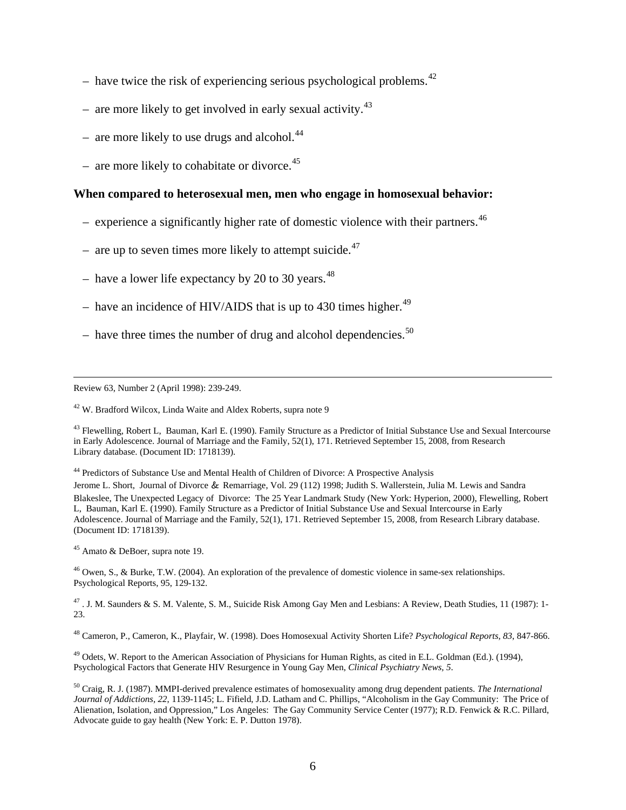- have twice the risk of experiencing serious psychological problems. $42$
- are more likely to get involved in early sexual activity.<sup>[43](#page-5-1)</sup>
- are more likely to use drugs and alcohol.<sup>[44](#page-5-2)</sup>
- are more likely to cohabitate or divorce.<sup>[45](#page-5-3)</sup>

#### **When compared to heterosexual men, men who engage in homosexual behavior:**

- experience a significantly higher rate of domestic violence with their partners.<sup>[46](#page-5-4)</sup>
- are up to seven times more likely to attempt suicide. $47$
- have a lower life expectancy by 20 to 30 years.  $48$
- have an incidence of HIV/AIDS that is up to 430 times higher.<sup>[49](#page-5-7)</sup>
- have three times the number of drug and alcohol dependencies.<sup>[50](#page-5-8)</sup>

Review 63, Number 2 (April 1998): 239-249.

<span id="page-5-0"></span><sup>42</sup> W. Bradford Wilcox, Linda Waite and Aldex Roberts, supra note 9

<span id="page-5-1"></span><sup>43</sup> Flewelling, Robert L, Bauman, Karl E. (1990). Family Structure as a Predictor of Initial Substance Use and Sexual Intercourse in Early Adolescence. Journal of Marriage and the Family, 52(1), 171. Retrieved September 15, 2008, from Research Library database. (Document ID: 1718139).

<span id="page-5-2"></span><sup>44</sup> Predictors of Substance Use and Mental Health of Children of Divorce: A Prospective Analysis

Jerome L. Short, Journal of Divorce & Remarriage, Vol. 29 (112) 1998; Judith S. Wallerstein, Julia M. Lewis and Sandra Blakeslee, The Unexpected Legacy of Divorce: The 25 Year Landmark Study (New York: Hyperion, 2000), Flewelling, Robert L, Bauman, Karl E. (1990). Family Structure as a Predictor of Initial Substance Use and Sexual Intercourse in Early Adolescence. Journal of Marriage and the Family, 52(1), 171. Retrieved September 15, 2008, from Research Library database. (Document ID: 1718139).

<span id="page-5-3"></span><sup>45</sup> Amato & DeBoer, supra note 19.

<span id="page-5-4"></span> $^{46}$  Owen, S., & Burke, T.W. (2004). An exploration of the prevalence of domestic violence in same-sex relationships. Psychological Reports, 95, 129-132.

<span id="page-5-5"></span><sup>47</sup> . J. M. Saunders & S. M. Valente, S. M., Suicide Risk Among Gay Men and Lesbians: A Review, Death Studies, 11 (1987): 1-23.

<span id="page-5-7"></span> $^{49}$  Odets, W. Report to the American Association of Physicians for Human Rights, as cited in E.L. Goldman (Ed.). (1994), Psychological Factors that Generate HIV Resurgence in Young Gay Men, *Clinical Psychiatry News, 5*.

<span id="page-5-6"></span><sup>48</sup> Cameron, P., Cameron, K., Playfair, W. (1998). Does Homosexual Activity Shorten Life? *Psychological Reports, 83*, 847-866.

<span id="page-5-8"></span><sup>50</sup> Craig, R. J. (1987). MMPI-derived prevalence estimates of homosexuality among drug dependent patients. *The International Journal of Addictions, 22*, 1139-1145; L. Fifield, J.D. Latham and C. Phillips, "Alcoholism in the Gay Community: The Price of Alienation, Isolation, and Oppression," Los Angeles: The Gay Community Service Center (1977); R.D. Fenwick & R.C. Pillard, Advocate guide to gay health (New York: E. P. Dutton 1978).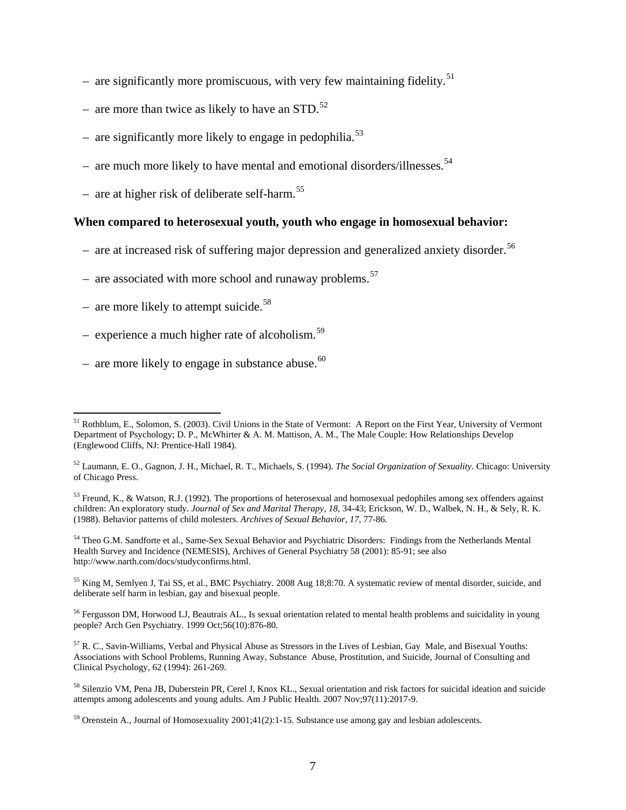- are significantly more promiscuous, with very few maintaining fidelity.<sup>[51](#page-6-0)</sup>
- are more than twice as likely to have an STD.<sup>[52](#page-6-1)</sup>
- are significantly more likely to engage in pedophilia.<sup>[53](#page-6-2)</sup>
- are much more likely to have mental and emotional disorders/illnesses.<sup>[54](#page-6-3)</sup>
	- are at higher risk of deliberate self-harm.<sup>[55](#page-6-4)</sup>

## **When compared to heterosexual youth, youth who engage in homosexual behavior:**

- are at increased risk of suffering major depression and generalized anxiety disorder.<sup>[56](#page-6-5)</sup>
- are associated with more school and runaway problems.<sup>[57](#page-6-6)</sup>
- are more likely to attempt suicide.<sup>[58](#page-6-7)</sup>
	- experience a much higher rate of alcoholism. $59$
	- are more likely to engage in substance abuse. $60$

<span id="page-6-3"></span><sup>54</sup> Theo G.M. Sandforte et al., Same-Sex Sexual Behavior and Psychiatric Disorders: Findings from the Netherlands Mental Health Survey and Incidence (NEMESIS), Archives of General Psychiatry 58 (2001): 85-91; see also http://www.narth.com/docs/studyconfirms.html.

<span id="page-6-4"></span><sup>55</sup> King M, Semlyen J, Tai SS, et al., BMC Psychiatry. 2008 Aug 18;8:70. A systematic review of mental disorder, suicide, and deliberate self harm in lesbian, gay and bisexual people.

<span id="page-6-5"></span><sup>56</sup> Fergusson DM, Horwood LJ, Beautrais AL., Is sexual orientation related to mental health problems and suicidality in young people? Arch Gen Psychiatry. 1999 Oct;56(10):876-80.

<span id="page-6-9"></span><span id="page-6-0"></span><sup>&</sup>lt;sup>51</sup> Rothblum, E., Solomon, S. (2003). Civil Unions in the State of Vermont: A Report on the First Year, University of Vermont Department of Psychology; D. P., McWhirter & A. M. Mattison, A. M., The Male Couple: How Relationships Develop (Englewood Cliffs, NJ: Prentice-Hall 1984).

<span id="page-6-1"></span><sup>52</sup> Laumann, E. O., Gagnon, J. H., Michael, R. T., Michaels, S. (1994). *The Social Organization of Sexuality*. Chicago: University of Chicago Press.

<span id="page-6-2"></span><sup>&</sup>lt;sup>53</sup> Freund, K., & Watson, R.J. (1992). The proportions of heterosexual and homosexual pedophiles among sex offenders against children: An exploratory study. *Journal of Sex and Marital Therapy, 18*, 34-43; Erickson, W. D., Walbek, N. H., & Sely, R. K. (1988). Behavior patterns of child molesters. *Archives of Sexual Behavior, 17*, 77-86.

<span id="page-6-6"></span> $57$  R. C., Savin-Williams, Verbal and Physical Abuse as Stressors in the Lives of Lesbian, Gay Male, and Bisexual Youths: Associations with School Problems, Running Away, Substance Abuse, Prostitution, and Suicide, Journal of Consulting and Clinical Psychology, 62 (1994): 261-269.

<span id="page-6-7"></span><sup>58</sup> Silenzio VM, Pena JB, Duberstein PR, Cerel J, Knox KL., Sexual orientation and risk factors for suicidal ideation and suicide attempts among adolescents and young adults. Am J Public Health. 2007 Nov;97(11):2017-9.

<span id="page-6-8"></span><sup>59</sup> Orenstein A., Journal of Homosexuality 2001;41(2):1-15. Substance use among gay and lesbian adolescents.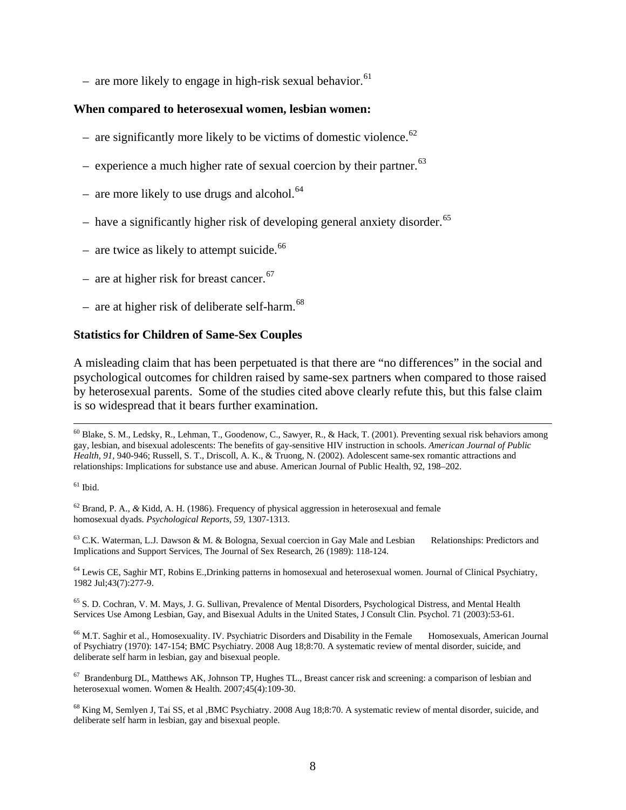– are more likely to engage in high-risk sexual behavior.<sup>[61](#page-7-0)</sup>

#### **When compared to heterosexual women, lesbian women:**

- are significantly more likely to be victims of domestic violence.<sup>[62](#page-7-1)</sup>
- experience a much higher rate of sexual coercion by their partner.<sup>[63](#page-7-2)</sup>
- are more likely to use drugs and alcohol.<sup>[64](#page-7-3)</sup>
- have a significantly higher risk of developing general anxiety disorder.<sup>[65](#page-7-4)</sup>
- are twice as likely to attempt suicide. $66$
- are at higher risk for breast cancer.<sup>[67](#page-7-6)</sup>
- are at higher risk of deliberate self-harm. $^{68}$  $^{68}$  $^{68}$

#### **Statistics for Children of Same-Sex Couples**

A misleading claim that has been perpetuated is that there are "no differences" in the social and psychological outcomes for children raised by same-sex partners when compared to those raised by heterosexual parents. Some of the studies cited above clearly refute this, but this false claim is so widespread that it bears further examination.

<span id="page-7-2"></span><sup>63</sup> C.K. Waterman, L.J. Dawson & M. & Bologna, Sexual coercion in Gay Male and Lesbian Relationships: Predictors and Implications and Support Services, The Journal of Sex Research, 26 (1989): 118-124.

<span id="page-7-3"></span><sup>64</sup> Lewis CE, Saghir MT, Robins E.,Drinking patterns in homosexual and heterosexual women. Journal of Clinical Psychiatry, 1982 Jul;43(7):277-9.

<span id="page-7-4"></span> $<sup>65</sup>$  S. D. Cochran, V. M. Mays, J. G. Sullivan, Prevalence of Mental Disorders, Psychological Distress, and Mental Health</sup> Services Use Among Lesbian, Gay, and Bisexual Adults in the United States, J Consult Clin. Psychol. 71 (2003):53-61.

<span id="page-7-5"></span><sup>66</sup> M.T. Saghir et al., Homosexuality. IV. Psychiatric Disorders and Disability in the Female Homosexuals, American Journal of Psychiatry (1970): 147-154; BMC Psychiatry. 2008 Aug 18;8:70. A systematic review of mental disorder, suicide, and deliberate self harm in lesbian, gay and bisexual people.

<span id="page-7-6"></span> $67$  Brandenburg DL, Matthews AK, Johnson TP, Hughes TL., Breast cancer risk and screening: a comparison of lesbian and heterosexual women. Women & Health. 2007;45(4):109-30.

<span id="page-7-7"></span><sup>68</sup> King M, Semlyen J, Tai SS, et al ,BMC Psychiatry. 2008 Aug 18;8:70. A systematic review of mental disorder, suicide, and deliberate self harm in lesbian, gay and bisexual people.

<sup>&</sup>lt;sup>60</sup> Blake, S. M., Ledsky, R., Lehman, T., Goodenow, C., Sawyer, R., & Hack, T. (2001). Preventing sexual risk behaviors among gay, lesbian, and bisexual adolescents: The benefits of gay-sensitive HIV instruction in schools. *American Journal of Public Health, 91,* 940-946; Russell, S. T., Driscoll, A. K., & Truong, N. (2002). Adolescent same-sex romantic attractions and relationships: Implications for substance use and abuse. American Journal of Public Health, 92, 198–202.

<span id="page-7-0"></span> $\,$   $^{61}$  Ibid.

<span id="page-7-1"></span><sup>62</sup> Brand, P. A., *&* Kidd, A. H. (1986). Frequency of physical aggression in heterosexual and female homosexual dyads. *Psychological Reports, 59,* 1307-1313.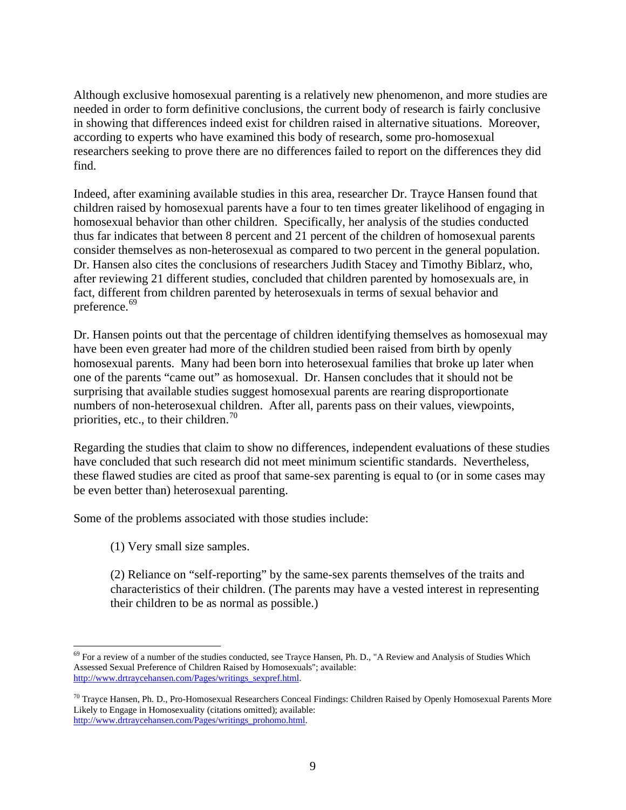Although exclusive homosexual parenting is a relatively new phenomenon, and more studies are needed in order to form definitive conclusions, the current body of research is fairly conclusive in showing that differences indeed exist for children raised in alternative situations. Moreover, according to experts who have examined this body of research, some pro-homosexual researchers seeking to prove there are no differences failed to report on the differences they did find.

Indeed, after examining available studies in this area, researcher Dr. Trayce Hansen found that children raised by homosexual parents have a four to ten times greater likelihood of engaging in homosexual behavior than other children. Specifically, her analysis of the studies conducted thus far indicates that between 8 percent and 21 percent of the children of homosexual parents consider themselves as non-heterosexual as compared to two percent in the general population. Dr. Hansen also cites the conclusions of researchers Judith Stacey and Timothy Biblarz, who, after reviewing 21 different studies, concluded that children parented by homosexuals are, in fact, different from children parented by heterosexuals in terms of sexual behavior and preference.<sup>[69](#page-8-0)</sup>

Dr. Hansen points out that the percentage of children identifying themselves as homosexual may have been even greater had more of the children studied been raised from birth by openly homosexual parents. Many had been born into heterosexual families that broke up later when one of the parents "came out" as homosexual. Dr. Hansen concludes that it should not be surprising that available studies suggest homosexual parents are rearing disproportionate numbers of non-heterosexual children. After all, parents pass on their values, viewpoints, priorities, etc., to their children.<sup>[70](#page-8-1)</sup>

Regarding the studies that claim to show no differences, independent evaluations of these studies have concluded that such research did not meet minimum scientific standards. Nevertheless, these flawed studies are cited as proof that same-sex parenting is equal to (or in some cases may be even better than) heterosexual parenting.

Some of the problems associated with those studies include:

(1) Very small size samples.

(2) Reliance on "self-reporting" by the same-sex parents themselves of the traits and characteristics of their children. (The parents may have a vested interest in representing their children to be as normal as possible.)

<span id="page-8-0"></span> $^{69}$  For a review of a number of the studies conducted, see Trayce Hansen, Ph. D., "A Review and Analysis of Studies Which Assessed Sexual Preference of Children Raised by Homosexuals"; available: [http://www.drtraycehansen.com/Pages/writings\\_sexpref.html.](http://www.drtraycehansen.com/Pages/writings_sexpref.html)

<span id="page-8-1"></span><sup>&</sup>lt;sup>70</sup> Trayce Hansen, Ph. D., Pro-Homosexual Researchers Conceal Findings: Children Raised by Openly Homosexual Parents More Likely to Engage in Homosexuality (citations omitted); available: [http://www.drtraycehansen.com/Pages/writings\\_prohomo.html.](http://www.drtraycehansen.com/Pages/writings_prohomo.html)